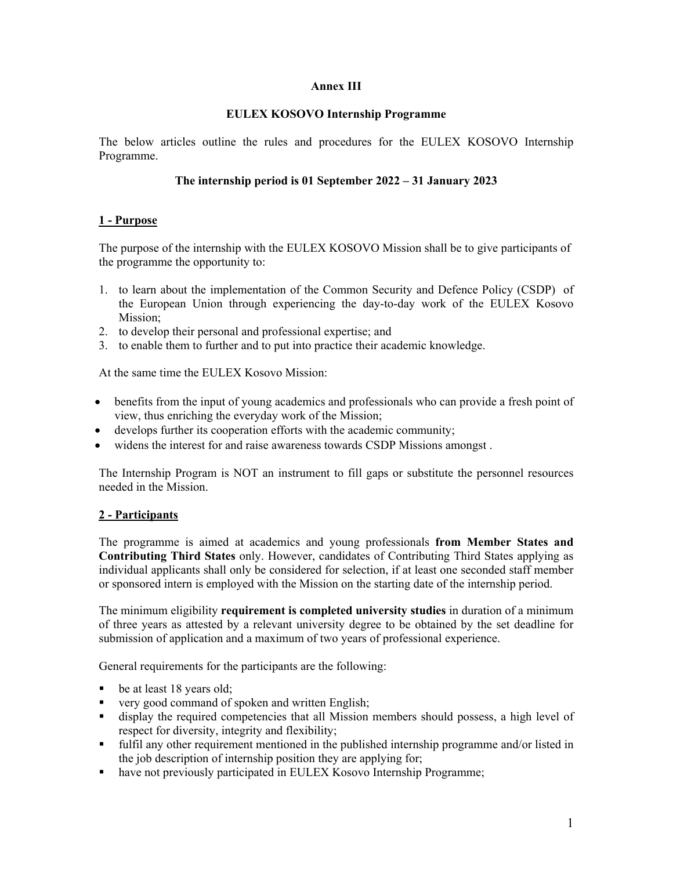### **Annex III**

### **EULEX KOSOVO Internship Programme**

The below articles outline the rules and procedures for the EULEX KOSOVO Internship Programme.

# **The internship period is 01 September 2022 – 31 January 2023**

# **1 - Purpose**

The purpose of the internship with the EULEX KOSOVO Mission shall be to give participants of the programme the opportunity to:

- 1. to learn about the implementation of the Common Security and Defence Policy (CSDP) of the European Union through experiencing the day-to-day work of the EULEX Kosovo Mission;
- 2. to develop their personal and professional expertise; and
- 3. to enable them to further and to put into practice their academic knowledge.

At the same time the EULEX Kosovo Mission:

- benefits from the input of young academics and professionals who can provide a fresh point of view, thus enriching the everyday work of the Mission;
- develops further its cooperation efforts with the academic community;
- widens the interest for and raise awareness towards CSDP Missions amongst .

The Internship Program is NOT an instrument to fill gaps or substitute the personnel resources needed in the Mission.

## **2 - Participants**

The programme is aimed at academics and young professionals **from Member States and Contributing Third States** only. However, candidates of Contributing Third States applying as individual applicants shall only be considered for selection, if at least one seconded staff member or sponsored intern is employed with the Mission on the starting date of the internship period.

The minimum eligibility **requirement is completed university studies** in duration of a minimum of three years as attested by a relevant university degree to be obtained by the set deadline for submission of application and a maximum of two years of professional experience.

General requirements for the participants are the following:

- be at least 18 years old;
- very good command of spoken and written English;
- display the required competencies that all Mission members should possess, a high level of respect for diversity, integrity and flexibility;
- fulfil any other requirement mentioned in the published internship programme and/or listed in the job description of internship position they are applying for;
- have not previously participated in EULEX Kosovo Internship Programme;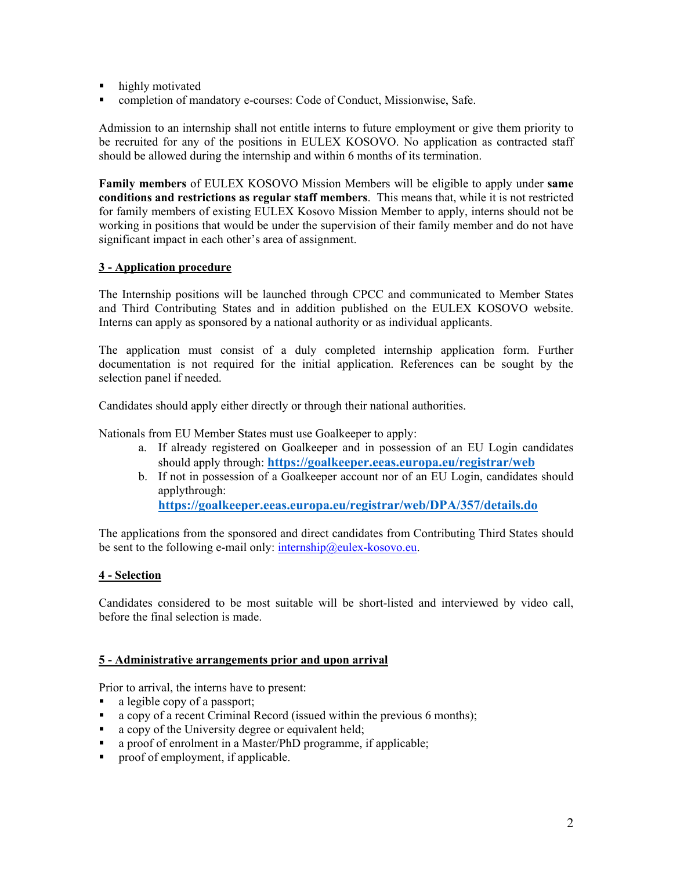- highly motivated
- completion of mandatory e-courses: Code of Conduct, Missionwise, Safe.

Admission to an internship shall not entitle interns to future employment or give them priority to be recruited for any of the positions in EULEX KOSOVO. No application as contracted staff should be allowed during the internship and within 6 months of its termination.

**Family members** of EULEX KOSOVO Mission Members will be eligible to apply under **same conditions and restrictions as regular staff members**. This means that, while it is not restricted for family members of existing EULEX Kosovo Mission Member to apply, interns should not be working in positions that would be under the supervision of their family member and do not have significant impact in each other's area of assignment.

### **3 - Application procedure**

The Internship positions will be launched through CPCC and communicated to Member States and Third Contributing States and in addition published on the EULEX KOSOVO website. Interns can apply as sponsored by a national authority or as individual applicants.

The application must consist of a duly completed internship application form. Further documentation is not required for the initial application. References can be sought by the selection panel if needed.

Candidates should apply either directly or through their national authorities.

Nationals from EU Member States must use Goalkeeper to apply:

- a. If already registered on Goalkeeper and in possession of an EU Login candidates should apply through: **https://goalkeeper.eeas.europa.eu/registrar/web**
- b. If not in possession of a Goalkeeper account nor of an EU Login, candidates should applythrough: **https://goalkeeper.eeas.europa.eu/registrar/web/DPA/357/details.do**

The applications from the sponsored and direct candidates from Contributing Third States should be sent to the following e-mail only:  $\frac{internship@eulex-kosovo.eu}{}$ .

### **4 - Selection**

Candidates considered to be most suitable will be short-listed and interviewed by video call, before the final selection is made.

### **5 - Administrative arrangements prior and upon arrival**

Prior to arrival, the interns have to present:

- a legible copy of a passport;
- a copy of a recent Criminal Record (issued within the previous 6 months);
- a copy of the University degree or equivalent held;
- a proof of enrolment in a Master/PhD programme, if applicable;
- **•** proof of employment, if applicable.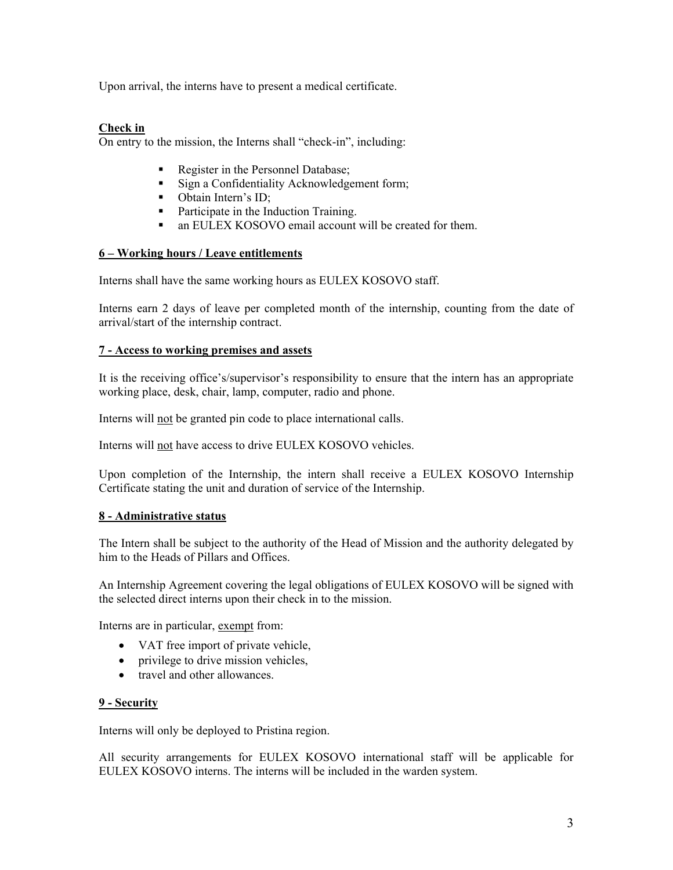Upon arrival, the interns have to present a medical certificate.

## **Check in**

On entry to the mission, the Interns shall "check-in", including:

- Register in the Personnel Database;
- **Sign a Confidentiality Acknowledgement form;**
- Obtain Intern's ID;
- Participate in the Induction Training.
- an EULEX KOSOVO email account will be created for them.

### **6 – Working hours / Leave entitlements**

Interns shall have the same working hours as EULEX KOSOVO staff.

Interns earn 2 days of leave per completed month of the internship, counting from the date of arrival/start of the internship contract.

### **7 - Access to working premises and assets**

It is the receiving office's/supervisor's responsibility to ensure that the intern has an appropriate working place, desk, chair, lamp, computer, radio and phone.

Interns will not be granted pin code to place international calls.

Interns will not have access to drive EULEX KOSOVO vehicles.

Upon completion of the Internship, the intern shall receive a EULEX KOSOVO Internship Certificate stating the unit and duration of service of the Internship.

## **8 - Administrative status**

The Intern shall be subject to the authority of the Head of Mission and the authority delegated by him to the Heads of Pillars and Offices.

An Internship Agreement covering the legal obligations of EULEX KOSOVO will be signed with the selected direct interns upon their check in to the mission.

Interns are in particular, exempt from:

- VAT free import of private vehicle,
- privilege to drive mission vehicles,
- travel and other allowances.

### **9 - Security**

Interns will only be deployed to Pristina region.

All security arrangements for EULEX KOSOVO international staff will be applicable for EULEX KOSOVO interns. The interns will be included in the warden system.